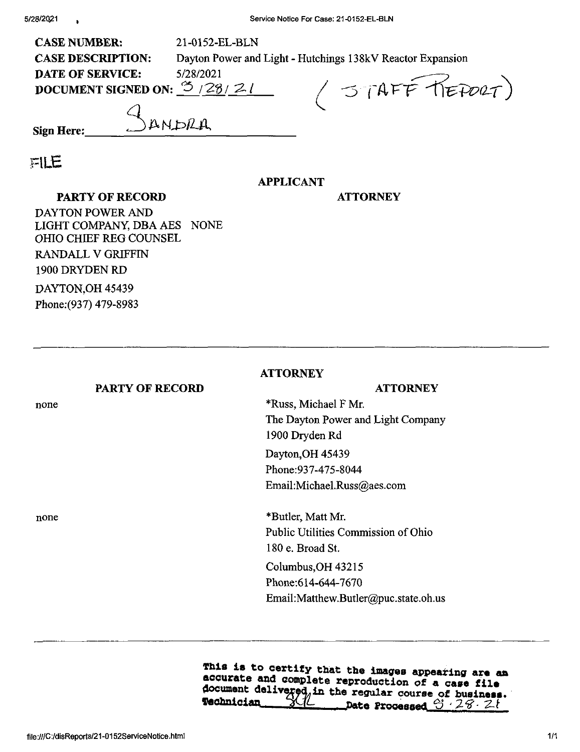| <b>CASE NUMBER:</b>                       | 21-0152-EL-BLN                                             |  |
|-------------------------------------------|------------------------------------------------------------|--|
| <b>CASE DESCRIPTION:</b>                  | Dayton Power and Light - Hutchings 138kV Reactor Expansion |  |
| <b>DATE OF SERVICE:</b>                   | 5/28/2021                                                  |  |
| DOCUMENT SIGNED ON: $\mathfrak{S}$ /28/21 | 1 STAFF KEPORT)                                            |  |
|                                           |                                                            |  |
| DANDRA<br><b>Sign Here:</b>               |                                                            |  |
|                                           |                                                            |  |

**•F**ILE

## **APPLICANT**

## **PARTY OF RECORD**

## **ATTORNEY**

DAYTON POWER AND LIGHT COMPANY, DBA AES NONE OHIO CHIEF REG COUNSEL RANDALL V GRIFFIN 1900 DRYDEN RD DAYTON,OH 45439 Fhone;(937) 479-8983

|      |                        | <b>ATTORNEY</b>                      |
|------|------------------------|--------------------------------------|
|      | <b>PARTY OF RECORD</b> | <b>ATTORNEY</b>                      |
| none |                        | *Russ, Michael F Mr.                 |
|      |                        | The Dayton Power and Light Company   |
|      |                        | 1900 Dryden Rd                       |
|      |                        | Dayton, OH 45439                     |
|      |                        | Phone: 937-475-8044                  |
|      |                        | Email:Michael.Russ@aes.com           |
| none |                        | *Butler, Matt Mr.                    |
|      |                        | Public Utilities Commission of Ohio  |
|      |                        | 180 e. Broad St.                     |
|      |                        | Columbus, OH 43215                   |
|      |                        | Phone: 614-644-7670                  |
|      |                        | Email:Matthew.Butler@puc.state.oh.us |

This is to certify that the images appearing are an accurate and complete reproduction of a case file document delivered in the regular course of business.<br>**Technician** 21 Date Processed 3 28 21 Technician XIl